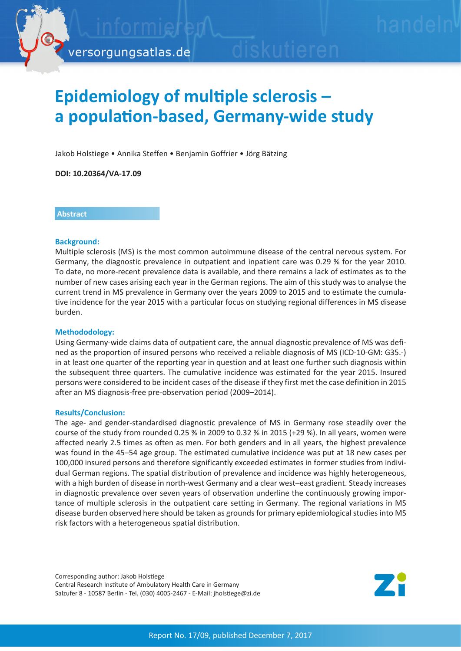

# **Epidemiology of multiple sclerosis – a population-based, Germany-wide study**

Jakob Holstiege • Annika Steffen • Benjamin Goffrier • Jörg Bätzing

**DOI: 10.20364/VA-17.09**

### **Abstract**

### **Background:**

Multiple sclerosis (MS) is the most common autoimmune disease of the central nervous system. For Germany, the diagnostic prevalence in outpatient and inpatient care was 0.29 % for the year 2010. To date, no more-recent prevalence data is available, and there remains a lack of estimates as to the number of new cases arising each year in the German regions. The aim of this study was to analyse the current trend in MS prevalence in Germany over the years 2009 to 2015 and to estimate the cumulative incidence for the year 2015 with a particular focus on studying regional differences in MS disease burden.

### **Methododology:**

Using Germany-wide claims data of outpatient care, the annual diagnostic prevalence of MS was defined as the proportion of insured persons who received a reliable diagnosis of MS (ICD-10-GM: G35.-) in at least one quarter of the reporting year in question and at least one further such diagnosis within the subsequent three quarters. The cumulative incidence was estimated for the year 2015. Insured persons were considered to be incident cases of the disease if they first met the case definition in 2015 after an MS diagnosis-free pre-observation period (2009–2014).

### **Results/Conclusion:**

The age- and gender-standardised diagnostic prevalence of MS in Germany rose steadily over the course of the study from rounded 0.25 % in 2009 to 0.32 % in 2015 (+29 %). In all years, women were affected nearly 2.5 times as often as men. For both genders and in all years, the highest prevalence was found in the 45–54 age group. The estimated cumulative incidence was put at 18 new cases per 100,000 insured persons and therefore significantly exceeded estimates in former studies from individual German regions. The spatial distribution of prevalence and incidence was highly heterogeneous, with a high burden of disease in north-west Germany and a clear west–east gradient. Steady increases in diagnostic prevalence over seven years of observation underline the continuously growing importance of multiple sclerosis in the outpatient care setting in Germany. The regional variations in MS disease burden observed here should be taken as grounds for primary epidemiological studies into MS risk factors with a heterogeneous spatial distribution.

Corresponding author: Jakob Holstiege Central Research Institute of Ambulatory Health Care in Germany Salzufer 8 - 10587 Berlin - Tel. (030) 4005-2467 - E-Mail: jholstiege@zi.de